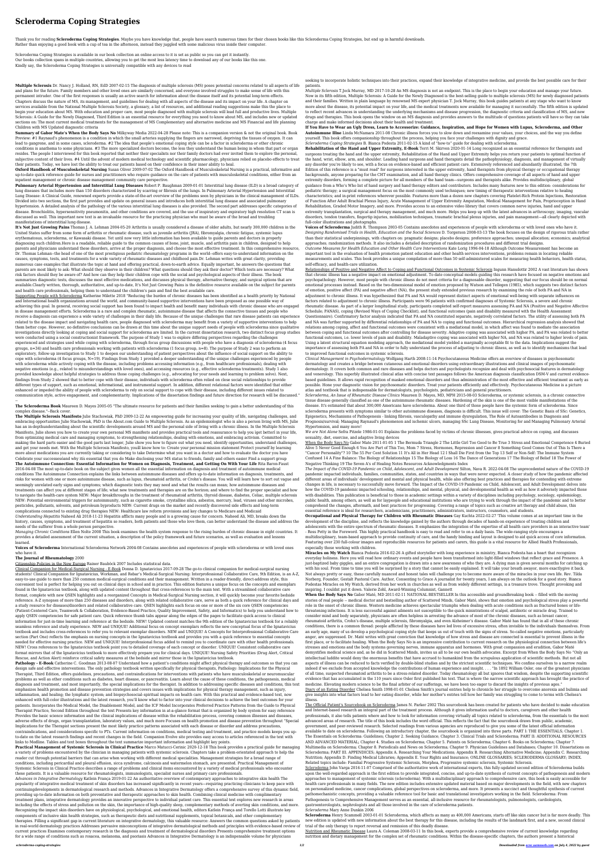## **Scleroderma Coping Strategies**

Thank you for reading **Scleroderma Coping Strategies**. Maybe you have knowledge that, people have search numerous times for their chosen books like this Scleroderma Coping Strategies, but end up in harmful downloads. Rather than enjoying a good book with a cup of tea in the afternoon, instead they juggled with some malicious virus inside their computer.

Scleroderma Coping Strategies is available in our book collection an online access to it is set as public so you can get it instantly. Our books collection spans in multiple countries, allowing you to get the most less latency time to download any of our books like this one. Kindly say, the Scleroderma Coping Strategies is universally compatible with any devices to read

**Multiple Sclerosis** Dr. Nancy J. Holland, RN, EdD 2007-02-15 The diagnosis of multiple sclerosis (MS) poses potential concerns related to all aspects of life and plans for the future. Family members and other loved ones are similarly concerned, and everyone involved struggles to make sense of life with this permanent intruder. One of the first responses is usually an active search for information about the disease itself and its potential long-term effects. Chapters discuss the nature of MS, its management, and guidelines for dealing with all aspects of the disease and its impact on your life. A chapter on services available from the National Multiple Sclerosis Society, a glossary, a list of resources, and additional reading suggestions make this the place to begin your education about MS. With education and proper care, most people diagnosed with multiple sclerosis will lead full and productive lives. Multiple Sclerosis: A Guide for the Newly Diagnosed, Third Edition is an essential resource for everything you need to know about MS, and includes new or updated sections on: The most current medical treatments for the management of MS Complementary and alternative medicine and MS Financial and life planning Children with MS Updated diagnostic criteria

**Summary of Gabor Mate's When the Body Says No** Milkyway Media 2022-04-28 Please note: This is a companion version & not the original book. Book Preview: #1 Raynaud's phenomenon is a condition in which the small arteries supplying the fingers are narrowed, depriving the tissues of oxygen. It can lead to gangrene, and in some cases, scleroderma. #2 The idea that people's emotional coping style can be a factor in scleroderma or other chronic

conditions is anathema to some physicians. #3 The more specialized doctors become, the less they understand the human being in whom that part or organ resides. The people I interviewed for this book reported that neither their specialists nor their family doctors had ever invited them to explore the personal, subjective content of their lives. #4 Until the advent of modern medical technology and scientific pharmacology, physicians relied on placebo effects to treat their patients. Today, we have lost the ability to treat our patients based on their confidence in their inner ability to heal.

**Oxford Handbook of Musculoskeletal Nursing** Susan Oliver 2009-07-02 The Oxford Handbook of Musculoskeletal Nursing is a practical, informative and up-to-date quick reference guide for nurses and practitioners who require guidance on the care of patients with musculoskeletal conditions, either from an inpatient management or chronic disease management community care perspective.

**Pulmonary Arterial Hypertension and Interstitial Lung Diseases** Robert P. Baughman 2009-01-01 Interstitial lung disease (ILD) is a broad category of lung diseases that includes more than 150 disorders characterized by scarring or fibrosis of the lungs. In Pulmonary Arterial Hypertension and Interstitial Lung Disease: A Clinical Guide, renowned experts provide a state-of-the-art overview of the problems seen by physicians in the clinical management of ILDs. Divided into two sections, the first part provides and update on general issues and introduces both interstitial lung disease and associated pulmonary hypertension. A detailed analysis of the pathology of the various interstitial lung diseases is also provided. The second part addresses specific categories of disease. Bronchiolitis, hypersensitivity pneumonitis, and other conditions are covered, and the use of inspiratory and expiratory high resolution CT scan is discussed as well. This important new text is an invaluable resource for the practicing physician who must be aware of the broad and troubling manifestations of interstitial lung disease.

Supporting People with Scleroderma Katherine Milette 2018 "Reducing the burden of chronic diseases has been identified as a health priority by National and International health organizations around the world, and community-based supportive interventions have been proposed as one possible way of achieving this goal. In general, receiving social support has been found to impact health and benefit many individuals with chronic disease who are engaged in disease management efforts. Scleroderma is a rare and complex rheumatic, autoimmune disease that affects the connective tissues and people who receive a diagnosis can experience a wide variety of challenges in their daily life. Because of the unique challenges that rare disease patients can experience related to the disease impact and navigating health care, people diagnosed with scleroderma may benefit from a variety of supportive interventions to help them better cope. However, no definitive conclusions can be drawn at this time about the unique support needs of people with scleroderma since qualitative investigations directly looking at coping and social support for scleroderma are limited. In the current dissertation research, two distinct focus group studies were conducted using a social constructionist framework. The purpose of Study 1 was to explore differing perspectives regarding the challenges experienced and strategies used while coping with scleroderma, through focus group discussions with people who have a diagnosis of scleroderma (4 focus groups, n=34) and health care professionals working with patients with scleroderma (1 focus group, n=8). The purpose of Study 2 was to perform an exploratory, follow-up investigation to Study 1 to deepen our understanding of patient perspectives about the influence of social support on the ability to cope with scleroderma (4 focus groups, N=19). Findings from Study 1 provided a deeper understanding of the unique challenges experienced by people with scleroderma while actively coping with the disease, including problems accessing information (e.g., from healthcare professionals), dealing with negative emotions (e.g., related to misunderstandings with loved ones), and accessing resources (e.g., effective scleroderma treatments). Study 1 also provided knowledge about helpful strategies to address those coping challenges (e.g., advocating for your needs and learning to problem solve). Next, findings from Study 2 showed that to better cope with their disease, individuals with scleroderma often relied on close social relationships to provide different types of support, such as emotional, informational, and instrumental support. In addition, different relational factors were identified that either enhanced or impeded the ability of people with scleroderma to rely on social support to cope with their disease, including different issues related to communication style, active engagement, and complementarity. Implications of the dissertation findings and future direction for research will be discussed."

**It's Not Just Growing Pains** Thomas J. A. Lehman 2004-05-20 Arthritis is usually considered a disease of older adults, but nearly 300,000 children in the United States suffer from some form of arthritis or rheumatic disease, such as juvenile arthritis (JRA), fibromyalgia, chronic fatigue, systemic lupus erythematosus, scleroderma, or Kawasaki disease. Yet until now very little information has been available to guide parents and doctors in properly diagnosing such children.Here is a readable, reliable guide to the common causes of bone, joint, muscle, and arthritis pain in children, designed to help parents and physicians understand these disorders, arrive at the proper diagnosis, and choose the most effective treatment. In this comprehensive resource, Dr. Thomas Lehman--the head of one of the most prestigious pediatric rheumatology programs in the world--offers easy-to-understand information on the causes, symptoms, tests, and treatments for a wide variety of rheumatic diseases and childhood pain.Dr. Lehman writes with great clarity, providing numerous case examples that illustrate the topic at hand and offering practical, down-to-earth advice. Equally important, he answers the questions that parents are most likely to ask: What should they observe in their children? What questions should they ask their doctor? Which tests are necessary? What risk factors should they be aware of? And how can they help their children cope with the social and psychological aspects of their illness. The book summarizes diagnostic tests, discusses the most effective medications, and discusses physical therapy, alternative therapy, and surgical options that are available.Clearly written, thorough, authoritative, and up-to-date, It's Not Just Growing Pains is the definitive resource available on the subject for parents and health care professionals, helping them to understand the children's pain and find the best available care.

--

**The Scleroderma Book** Maureen D. Mayes 2005-05 "The ultimate resource for patients and their families seeking to gain a better understanding of this complex disease."--Back cover.

**The Multiple Sclerosis Manifesto** Julie Stachowiak, PhD 2009-12-22 An empowering guide for increasing your quality of life, navigating challenges, and embracing opportunities Julie Stachowiak, PhD is the About.com Guide to Multiple Sclerosis. As an epidemiologist who is also a person living with MS, Julie has an in-depthunderstanding about the scientific developments around MS and the personal side of living with a chronic illness. In the Multiple Sclerosis Manifesto, Julie shows you how to create your own personal MS manifesto and provides practical tools and reassurance to help you ìget betterî in your life, from optimizing medical care and managing symptoms, to strengthening relationships, dealing with emotions, and embracing activism. Committed to making the hard parts easier and the good parts last longer, Julie show you how to figure out what you need, identify opportunities, understand challenges, and get your needs met. With the Multiple Sclerosis Manifesto, youíll know how to: Create your personal mission statement Protect yourself by learning more about medications you are currently taking or considering to take Determine what you want in a doctor and how to evaluate the doctor you have Celebrate your successesóand why itís essential that you do Make disclosing your MS status to friends, family and others easier Find a support group **The Autoimmune Connection: Essential Information for Women on Diagnosis, Treatment, and Getting On With Your Life** Rita Baron-Faust 2016-04-08 The most up-to-date book on the subject gives women all the essential information on diagnosis and treatment of autoimmune medical conditions The Autoimmune Connection explains the links between autoimmune diseases and offers up-to-date information on diagnosis, treatments, and risks for women with one or more autoimmune disease, such as lupus, rheumatoid arthritis, or Crohn's disease. You will will learn how to sort out vague and seemingly unrelated early signs and symptoms; which diagnostic tests they may need and what the results can mean; how autoimmune diseases and treatments can affect you at different stages of life; what new treatments and therapies are on the horizon; and where to find the proper specialist and how to navigate the health-care system NEW: Major breakthroughs in the treatment of rheumatoid arthritis, thyroid disease, diabetes, Celiac, multiple sclerosis NEW: Potential environmental triggers for autoimmunity, such as cigarette smoke, crystalline silica, asbestos, mercury, lead, viruses and other microbes, pesticides, pollutants, solvents, and petroleum byproducts NEW: Current drugs on the market and recently discovered side effects and long-term complications connected to existing drug therapies NEW: Healthcare law reform provisions and key changes to Medicare and Medicaid *Understanding Hepatitis* Naheed Ali 2018-11-23 Hepatitis afflicts many people and is a growing cause for concern. Naheed Ali, MD, breaks down the history, causes, symptoms, and treatment of hepatitis so readers, both patients and those who love them, can better understand the disease and address the needs of the sufferer from a whole person perspective.

*Managing Chronic Conditions* Ellen Nolte 2008 This book examines the health system response to the rising burden of chronic disease in eight countries. It provides a detailed assessment of the current situation, a description of the policy framework and future scenarios, as well as evaluation and lessons learned.

**Voices of Scleroderma** International Scleroderma Network 2004-08 Contains anecdotes and experiences of people with scleroderma or with loved ones who have it.

## **The Journal of Rheumatology** 2000

Citizenship Policies in the New Europe Rainer Bauböck 2007 Includes statistical data.

Clinical Companion for Medical-Surgical Nursing - E-Book Donna D. Ignatavicius 2017-09-28 The go-to clinical companion for medical-surgical nursing students! Clinical Companion for Ignatavicius, Workman, and Rebar's Medical-Surgical Nursing: Interprofessional Collaborative Care, 9th Edition, is an A-Z, easy-to-use guide to more than 250 common medical-surgical conditions and their management. Written in a reader-friendly, direct-address style, this convenient tool is perfect for helping you out on clinical days in school and in practice. This edition features a unique focus on the concepts and exemplars found in the Ignatavicius textbook, along with updated content throughout that cross-references to the main text. With a streamlined collaborative care format, complete with new QSEN highlights and a reorganized Concepts in Medical-Surgical Nursing section, it will quickly become your favorite bedside reference. A-Z synopses of more than 250 diseases and disorders, along with related collaborative care, serve as both a quick reference for clinical days and a study resource for diseases/disorders and related collaborative care. QSEN highlights each focus on one or more of the six core QSEN competencies (Patient-Centered Care, Teamwork & Collaboration, Evidence-Based Practice, Quality Improvement, Safety, and Informatics) to help you understand how to apply QSEN competencies for safe patient care. Quick reference thumb tabs appear along the edges of the pages to facilitate quick access to clinical information for just-in-time learning and reference at the bedside. NEW! Updated content matches the 9th edition of the Ignatavicius textbook for a reliably seamless reference and study experience. NEW and UNIQUE! Additional focus on concept exemplars reflects the new conceptual focus of the Ignatavicius textbook and includes cross-references to refer you to relevant exemplar disorders. NEW and UNIQUE! A Concepts for Interprofessional Collaborative Care section (Part One) reflects the emphasis on nursing concepts in the Ignatavicius textbook and provides you with a quick reference to essential concepts needed for effective nursing practice. NEW and UNIQUE! Interprofessional focus added to remind you to coordinate care with other health professionals.

NEW! Cross references to the Ignatavicius textbook point you to detailed coverage of each concept or disorder. UNIQUE! Consistent collaborative care format mirrors that of the Ignatavicius textbook to more effectively prepare you for clinical days. UNIQUE! Nursing Safety Priorities (Drug Alert, Critical Rescue, and Action Alert) reinforce critical safety measures at the bedside and mirror those in the Ignatavicius textbook.

**Pathology - E-Book** Catherine C. Goodman 2013-08-07 Understand how a patient's conditions might affect physical therapy and outcomes so that you can design safe and effective interventions. The only pathology textbook written specifically for physical therapists, Pathology: Implications for the Physical Therapist, Third Edition, offers guidelines, precautions, and contraindications for interventions with patients who have musculoskeletal or neuromuscular problems as well as other conditions such as diabetes, heart disease, or pancreatitis. Learn about the cause of these conditions, the pathogenesis, medical diagnosis and treatment, and most importantly, the special implications for the therapist. In addition to addressing specific diseases and conditions, this text emphasizes health promotion and disease prevention strategies and covers issues with implications for physical therapy management, such as injury, inflammation, and healing; the lymphatic system; and biopsychosocial–spiritual impacts on health care. With this practical and evidence-based text, now enhanced with full-color illustrations and the latest research, you'll know what to factor into your clinical decisions to achieve the best outcomes for your patients. Incorporates the Medical Model, the Disablement Model, and the ICF Model Incorporates Preferred Practice Patterns from the Guide to Physical Therapist Practice, Second Edition throughout the text Presents key information in at-a-glance format that is organized by body system for easy reference Provides the basic science information and the clinical implications of disease within the rehabilitation process, covering common illnesses and diseases, adverse effects of drugs, organ transplantation, laboratory values, and much more Focuses on health promotion and disease prevention throughout "Special Implications for the Therapist sections present the most likely practice patterns associated with each disease or disorder and address precautions, contraindications, and considerations specific to PTs. Current information on conditions, medical testing and treatment, and practice models keeps you upto-date on the latest research findings and recent changes in the field. Companion Evolve site provides easy access to articles referenced in the text with links to Medline. Tables and text boxes throughout the text summarize important information and highlight key points.

**Practical Management of Systemic Sclerosis in Clinical Practice** Marco Matucci-Cerinic 2020-12-18 This book provides a practical guide for managing a variety of problems encountered by the clinician in managing patients with systemic sclerosis. Chapters take a problem-orientated approach to help the reader cut through potential barriers that can arise when working with different medical specialities. Management strategies for a broad range of conditions, including pericardial and pleural effusion, sicca syndrome, calcinosis and watermelon stomach, are presented. Practical Management of Systemic Sclerosis in Clinical Practice describes a range of problems and clinical items encountered by a variety of medical professionals who encounter these patients. It is a valuable resource for rheumatologists, immunologists, specialist nurses and primary care professionals. *Advances in Integrative Dermatology* Katlein França 2019-01-22 An authoritative overview of contemporary approaches to integrative skin health The popularity of integrative medical treatment of skin disorders has increased significantly in recent years—requiring practicing clinicians to keep pace with continuingdevelopments in dermatological research and methods. Advances in Integrative Dermatology offers a comprehensive survey of this dynamic field, providing up-to-date information on both preventative and therapeutic approaches to skin health. Combining clinical medicine with complimentary treatment plans, integrative dermatology provides an innovative perspective to individual patient care. This essential text explores new research in areas including the effects of stress and pollution on the skin, the importance of high-quality sleep, complementary methods of averting skin conditions, and more. Recognizing the impact skin disorders have on physiological, psychological, and emotional health, editors Katlein França and Torello Lotti illustrate key components of inclusive skin health strategies, such as therapeutic diets and nutritional supplements, topical botanicals, and other complementary therapies. Filling a significant gap in current literature on integrative dermatology, this valuable resource: Answers the common questions asked by patients in real-world dermatology practices Addresses pervasive misconceptions of integrative dermatological methods and principles with evidence-based review of current practices Examines contemporary research in the diagnosis and treatment of dermatological disorders Presents comprehensive treatment options for a wide range of conditions such as rosacea, melanoma, and psoriasis Advances in Integrative Dermatology is an indispensable volume for physicians

When the Body Says No Gabor Maté, MD 2011-02-11 NATIONAL BESTSELLER In this accessible and groundbreaking book -- filled with the moving stories of real people -- medical doctor and bestselling author of Scattered Minds, Gabor Maté, shows that emotion and psychological stress play a powerful role in the onset of chronic illness. Western medicine achieves spectacular triumphs when dealing with acute conditions such as fractured bones or lifethreatening infections. It is less successful against ailments not susceptible to the quick ministrations of scalpel, antibiotic or miracle drug. Trained to consider mind and body separately, physicians are often helpless in arresting the advance of most of the chronic diseases, such as breast cancer, rheumatoid arthritis, Crohn's disease, multiple sclerosis, fibromyalgia, and even Alzheimer's disease. Gabor Maté has found that in all of these chronic conditions, there is a common thread: people afflicted by these diseases have led lives of excessive stress, often invisible to the individuals themselves. From an early age, many of us develop a psychological coping style that keeps us out of touch with the signs of stress. So-called negative emotions, particularly anger, are suppressed. Dr. Maté writes with great conviction that knowledge of how stress and disease are connected is essential to prevent illness in the first place, or to facilitate healing. When the Body Says No is an impressive contribution to current research on the physiological connection between life's stresses and emotions and the body systems governing nerves, immune apparatus and hormones. With great compassion and erudition, Gabor Maté demystifies medical science and, as he did in Scattered Minds, invites us all to be our own health advocates. Excerpt from When the Body Says No "Only an intellectual luddite would deny the enormous benefits that have accrued to humankind from the scrupulous application of scientific methods. But not all aspects of illness can be reduced to facts verified by double-blind studies and by the strictest scientific techniques. We confine ourselves to a narrow realm indeed if we exclude from accepted knowledge the contributions of human experience and insight. . . . "In 1892 William Osler, one of the greatest physicians of all time, suspected rheumatoid arthritis to be a stress-related disorder. Today rheumatology all but ignores that wisdom, despite the supporting scientific evidence that has accumulated in the 110 years since Osler first published his text. That is where the narrow scientific approach has brought the practice of medicine. Elevating modern science to be the final arbiter of our sufferings, we have been too eager to discard the insights of previous ages." Diary of an Eating Disorder Chelsea Smith 1998-01-01 Chelsea Smith's journal entries help to chronicle her struggle to overcome anorexia and bulimia and give insights into what factors lead to her eating disorder, while her mother's entries tell how her family was struggling to come to terms with Chelsea's illness. The Official Patient's Sourcebook on Scleroderma James N. Parker 2002 This sourcebook has been created for patients who have decided to make education and Internet-based research an integral part of the treatment process. Although it gives information useful to doctors, caregivers and other health professionals, it also tells patients where and how to look for information covering virtually all topics related to scleroderma, from the essentials to the most advanced areas of research. The title of this book includes the word official. This reflects the fact that the sourcebook draws from public, academic, government, and peer-reviewed research. Selected readings from various agencies are reproduced to give you some of the latest official information available to date on scleroderma. Following an introductory chapter, the sourcebook is organized into three parts. PART I: THE ESSENTIALS; Chapter 1. The Essentials on Scleroderma: Guidelines; Chapter 2. Seeking Guidance; Chapter 3. Clinical Trials and Scleroderma; PART II: ADDITIONAL RESOURCES AND ADVANCED MATERIAL; Chapter 4. Studies on Scleroderma; Chapter 5. Patents on Scleroderma; Chapter 6. Books on Scleroderma; Chapter 7. Multimedia on Scleroderma; Chapter 8. Periodicals and News on Scleroderma; Chapter 9. Physician Guidelines and Databases; Chapter 10. Dissertations on Scleroderma; PART III. APPENDICES; Appendix A. Researching Your Medications; Appendix B. Researching Alternative Medicine; Appendix C. Researching Nutrition; Appendix D. Finding Medical Libraries; Appendix E. Your Rights and Insurance; ONLINE GLOSSARIES; SCLERODERMA GLOSSARY; INDEX. Related topics include: Familial Progressive Systemic Sclerosis, Morphea, Progressive systemic sclerosis, Systemic Sclerosis. Scleroderma John Varga 2016-11-07 Comprised of the authoritative work of international experts, this fully-updated second edition of Scleroderma builds upon the well-regarded approach in the first edition to provide integrated, concise, and up-to-date synthesis of current concepts of pathogenesis and modern approaches to management of systemic sclerosis (scleroderma). With a multidisciplinary approach to comprehensive care, this book is easily accessible for health care professionals in many fields. The new edition includes extensive updated material based on major developments in the field, with new chapters on personalized medicine, cancer complications, global perspectives on scleroderma, and more. It presents a succinct and thoughtful synthesis of current pathomechanistic concepts, providing a valuable reference tool for basic and translational investigators working in the field. Scleroderma: From Pathogenesis to Comprehensive Management serves as an essential, all-inclusive resource for rheumatologists, pulmonologists, cardiologists, gastroenterologists, nephrologists and all those involved in the care of scleroderma patients.

seeking to incorporate holistic techniques into their practices, expand their knowledge of integrative medicine, and provide the best possible care for their patients.

*Multiple Sclerosis* T.Jock Murray, MD 2017-10-28 An MS diagnosis is not an endpoint. This is the place to begin your education and manage your future. Now in its fifth edition, Multiple Sclerosis: A Guide for the Newly Diagnosed is the best-selling guide to multiple sclerosis (MS) for newly diagnosed patients and their families. Written in plain language by renowned MS expert physician T. Jock Murray, this book guides patients at any stage who want to know more about the disease, its potential impact on your life, and the medical treatments now available for managing it successfully. The fifth edition is updated to reflect recent advances in understanding the underlying mechanisms and disease progression, the diagnostic criteria and classification of MS, and new drugs and therapies. This book opens the window on an MS diagnosis and provides answers to the multitude of questions patients will have so they can take charge and make informed decisions about their health and treatment.

**If You Have to Wear an Ugly Dress, Learn to Accessorize: Guidance, Inspiration, and Hope for Women with Lupus, Scleroderma, and Other Autoimmune Illne** Linda McNamara 2011-08 Chronic illness forces you to slow down and reexamine your values, your choices, and the way you define yourself. This book offers companionship throughout the process, helping you face your challenges with dignity and grace. *Scleroderma Coping Strategies* B. Bianca Podesta 2011-02-15 A kind of "how-to" guide for dealing with scleroderma.

**Rehabilitation of the Hand and Upper Extremity, E-Book** Terri M. Skirven 2020-01-14 Long recognized as an essential reference for therapists and surgeons treating the hand and the upper extremity, Rehabilitation of the Hand and Upper Extremity helps you return your patients to optimal function of the hand, wrist, elbow, arm, and shoulder. Leading hand surgeons and hand therapists detail the pathophysiology, diagnosis, and management of virtually any disorder you're likely to see, with a focus on evidence-based and efficient patient care. Extensively referenced and abundantly illustrated, the 7th Edition of this reference is a "must read" for surgeons interested in the upper extremity, hand therapists from physical therapy or occupational therapy backgrounds, anyone preparing for the CHT examination, and all hand therapy clinics. Offers comprehensive coverage of all aspects of hand and upper extremity disorders, forming a complete picture for all members of the hand team—surgeons and therapists alike. Provides multidisciplinary, global guidance from a Who's Who list of hand surgery and hand therapy editors and contributors. Includes many features new to this edition: considerations for pediatric therapy; a surgical management focus on the most commonly used techniques; new timing of therapeutic interventions relative to healing characteristics; and in-print references wherever possible. Features more than a dozen new chapters covering Platelet-Rich Protein Injections, Restoration of Function After Adult Brachial Plexus Injury, Acute Management of Upper Extremity Amputation, Medical Management for Pain, Proprioception in Hand Rehabilitation, Graded Motor Imagery, and more. Provides access to an extensive video library that covers common nerve injuries, hand and upper extremity transplantation, surgical and therapy management, and much more. Helps you keep up with the latest advances in arthroscopy, imaging, vascular disorders, tendon transfers, fingertip injuries, mobilization techniques, traumatic brachial plexus injuries, and pain management—all clearly depicted with full-color illustrations and photographs.

**Voices of Scleroderma** Judith R. Thompson 2003-05 Contains anecdotes and experiences of people with scleroderma or with loved ones who have it. *Designing Randomised Trials in Health, Education and the Social Sciences* D. Torgerson 2008-03-13 The book focuses on the design of rigorous trials rather than their statistical underpinnings, with chapters on: pragmatic designs; placebo designs; preference approaches; unequal allocation; economics; analytical approaches; randomization methods. It also includes a detailed description of randomization procedures and different trial designs. *Outcome Measures for Health Education and Other Health Care Interventions* Kate Lorig 1996-04-18 Although Outcome Measurement has become an important tool in the evaluation of health promotion patient education and other health services interventions, problems remain in locating reliable measurements and scales. This book provides a unique compilation of more than 50 self-administered scales for measuring health behaviors, health status, self-efficacy, and health-care utilization.

Relationships of Positive and Negative Affect to Coping and Functional Outcomes in Systemic Sclerosis Ingunn Hansdottir 2002 A vast literature has shown that chronic illness has a negative impact on emotional adjustment. To date conceptual models guiding this research have focused on negative emotions and psychopathology. However, most people with chronic illness do not meet criteria for a diagnosable disorder, suggesting that our focus should be on normal emotional processes instead. Based on the two-dimensional model of emotion proposed by Watson and Tellegen (1985), which suggests two distinct factors of emotion, positive affect (PA) and negative affect (NA), the present study extended previous research by examining the role of both PA and NA in adjustment to chronic illness. It was hypothesized that PA and NA would represent distinct aspects of emotional well-being with separate influences on factors related to adjustment to chronic illness. Participants were 96 patients with confirmed diagnoses of Systemic Sclerosis, a severe and chronic rheumatic disease. As part of a larger longitudinal study, participants completed self-report measures assessing PA and NA (Positive and Negative Affective Schedule; PANAS), coping (Revised Ways of Coping Checklist), and functional outcomes (pain and disability measured with the Health Assessment Questionnaire). Confirmatory factor analysis indicated that PA and NA constituted separate, negatively correlated factors. The utility of assessing both PA and NA was further supported by differential relationships of PA and NA to coping and functional outcomes. Hierarchical regression analysis showed that relations among coping, affect and functional outcomes were consistent with a mediational model, in which affect was found to mediate the association between coping and functional outcomes after controlling for disease severity. Adaptive coping was associated with higher PA, and PA was related to better functional outcomes, i.e. lower levels of pain and disability. Maladaptive coping was associated with higher NA, and NA was related to higher levels of pain. Using a latent structural equation modeling approach, the mediational model yielded a marginally acceptable fit to the data. Implications suggest the importance of assessing both PA and NA in order to fully understand the process of adjusting to chronic illness, as well as to identify mechanisms that lead to improved functional outcomes in systemic sclerosis. *Clinical Management in Psychodermatology* Wolfgang Harth 2008-11-14 Psychocutaneous Medicine offers an overview of diseases in psychosomatic dermatology and creates a bridge between cutaneous and emotional disorders using extraordinary illustrations and clinical images of psychosomatic dermatology. It covers both common and rare diseases and helps doctors and psychologists recognize and deal with psychosocial features in dermatology and venerology. This superbly illustrated clinical atlas with concise text passages follows the American diagnosis classification DSM-V and current evidencebased guidelines. It allows rapid recognition of masked emotional disorders and thus administration of the most effective and efficient treatment as early as possible. Hone your diagnostic vision for psychosomatic disorders. Treat your patients efficiently and effectively. Psychocutaneous Medicine is a picture atlas and textbook that is indispensable for dermatologists, psychologists, pediatricians and general practitioners. *Scleroderma, An Issue of Rheumatic Disease Clinics* Maureen D. Mayes, MD, MPH 2015-08-03 Scleroderma, or systemic sclerosis, is a chronic connective tissue disease generally classified as one of the autoimmune rheumatic diseases. Hardening of the skin is one of the most visible manifestations of the disease. It's estimated that about 300,000 Americans have scleroderma. About one third of those people have the systemic form of scleroderma. Since scleroderma presents with symptoms similar to other autoimmune diseases, diagnosis is difficult. This issue will cover: The Genetic Basis of SSc: Genetics, Epigenetics, Mechanisms of Pathogenesis - linking fibrosis, vasculopathy and immune dysregulation, The Role of Autoantibodies in Diagnosis and Prognosis/survival; Managing Raynaud's phenomenon and ischemic ulcers, managing SSc Lung Disease, Monitoring for and Managing Pulmonary Arterial Hypertension, and many more!

*We are Not Alone* Sefra Pitzele 1986-01-01 Explains the problems faced by victims of chronic illnesses, gives practical advice on coping, and discusses sexuality, diet, exercise, and adaptive living devices

When the Body Says No Gabor Mate 2011-01-05 1 The Bermuda Triangle 2 The Little Girl Too Good to Be True 3 Stress and Emotional Competence 4 Buried Alive 5 Never Good Enough 6 You Are Part of This Too, Mom 7 Stress, Hormones, Repression and Cancer 8 Something Good Comes Out of This Is There a "Cancer Personality"? 10 The 55 Per Cent Solution 11 It's All in Her Head 12 I Shall Die First from the Top 13 Self or Non-Self: The Immune System Confused 14 A Fine Balance: The Biology of Relationships 15 The Biology of Loss 16 The Dance of Generations 17 The Biology of Belief 18 The Power of Negative Thinking 19 The Seven A's of Healing Notes Resources Acknowledgments Index

*The Impact of the COVID-19 Pandemic on Child, Adolescent, and Adult Development* Silton, Nava R. 2022-04-08 The unprecedented nature of the COVID-19 pandemic impacted individuals, families, communities, states, and countries in ways that were never expected. A closer study of how the pandemic affected different areas of individuals' development and mental and physical health, while also offering best practices and therapies for contending with extreme changes in life, is necessary to successfully move forward. The Impact of the COVID-19 Pandemic on Child, Adolescent, and Adult Development delves into how the COVID-19 pandemic impacted schooling, relationships, and mental, physical, and developmental health as well as how it adversely impacted those with disabilities. This publication is beneficial to those in academic settings within a variety of disciplines including psychology, sociology, epidemiology, public health, among others, as well as for laypeople and educational institutions who are trying to work through the impact of the pandemic and to better comprehend the changes, aftermath, and best practices for progressing. Covering a range of topics such as creative art therapy and child abuse, this essential reference is ideal for researchers, academicians, practitioners, administrators, instructors, counselors, and students.

**Occupational and Physical Therapy for Children with Rheumatic Diseases** Gay Kuchta 2022-02-27 'This volume comes at an important time in the development of the discipline, and reflects the knowledge gained by the authors through decades of hands-on experience of treating children and adolescents with the entire spectrum of rheumatic diseases. It emphasizes the integration of the expertise of all health care providers in an interactive team' - Ross Petty in the Foreword. This highly practical handbook is easy to read and refer to on a daily basis. The wide-ranging style encourages a multidisciplinary, team-based approach to provide continuity of care, and the handy binding and layout is designed to aid quick access of core information. Featuring over 230 full-colour images and reproducible resources for patients and carers, this guide is a vital resource for Allied Health Professionals, especially those working with children.

**Miracles on My Watch** Bianca Podesta 2016-02-26 A gifted storyteller with long experience in ministry, Bianca Podesta has a heart that recognizes everyday holiness. Here you will read how ordinary events and people have been transformed into light-filled windows that reflect grace and Presence. A just-baptized baby giggles, and an entire congregation is drawn into a new awareness of who they are. A dying man is given several months for catching up with his soul. From time to time you will be surprised by a story that cannot be easily explained. It will take your breath awayor, more exactlygive it back. Not always pretty or easy, these carefully nuanced and honest tales will challenge you to become more aware of the miracles in your own life. Rev. Tilda Norberg, Founder, Gestalt Pastoral Care. Author, Consenting to Grace A journalist for twenty years, I am always on the outlook for a good story. Bianca Podestas Miracles on My Watch, derived from her work in churches as well as from widely different settings, is a treasure trove. Thought provoking and inspiring. I couldnt put it down. Valerie Zehl, Award-Winning Columnist, Gannett

*Scleroderma* Mary Anne Dunkin 2006

**Scleroderma** Henry Scammell 2003-01-01 Scleroderma, which affects as many as 400,000 Americans, starts off like skin cancer but is far more deadly. This new edition is updated with new information about the best therapy for this disease, including the results of the landmark first, and a new, second clinical trial of the only therapy to report reversal and remission of this deadly disease.

Nutrition and Rheumatic Disease Laura A. Coleman 2008-03-11 In this book, experts provide a comprehensive review of current knowledge regarding nutrition and dietary management for the complex set of rheumatic conditions. Within the disease-specific chapters, the authors present a historical